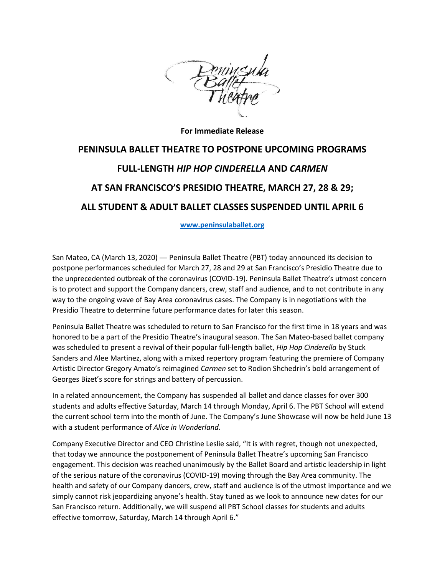

**For Immediate Release**

## **PENINSULA BALLET THEATRE TO POSTPONE UPCOMING PROGRAMS FULL-LENGTH** *HIP HOP CINDERELLA* **AND** *CARMEN* **AT SAN FRANCISCO'S PRESIDIO THEATRE, MARCH 27, 28 & 29; ALL STUDENT & ADULT BALLET CLASSES SUSPENDED UNTIL APRIL 6**

**[www.peninsulaballet.org](http://www.peninsulaballet.org/)**

San Mateo, CA (March 13, 2020) — Peninsula Ballet Theatre (PBT) today announced its decision to postpone performances scheduled for March 27, 28 and 29 at San Francisco's Presidio Theatre due to the unprecedented outbreak of the coronavirus (COVID-19). Peninsula Ballet Theatre's utmost concern is to protect and support the Company dancers, crew, staff and audience, and to not contribute in any way to the ongoing wave of Bay Area coronavirus cases. The Company is in negotiations with the Presidio Theatre to determine future performance dates for later this season.

Peninsula Ballet Theatre was scheduled to return to San Francisco for the first time in 18 years and was honored to be a part of the Presidio Theatre's inaugural season. The San Mateo-based ballet company was scheduled to present a revival of their popular full-length ballet, *Hip Hop Cinderella* by Stuck Sanders and Alee Martinez, along with a mixed repertory program featuring the premiere of Company Artistic Director Gregory Amato's reimagined *Carmen* set to Rodion Shchedrin's bold arrangement of Georges Bizet's score for strings and battery of percussion.

In a related announcement, the Company has suspended all ballet and dance classes for over 300 students and adults effective Saturday, March 14 through Monday, April 6. The PBT School will extend the current school term into the month of June. The Company's June Showcase will now be held June 13 with a student performance of *Alice in Wonderland*.

Company Executive Director and CEO Christine Leslie said, "It is with regret, though not unexpected, that today we announce the postponement of Peninsula Ballet Theatre's upcoming San Francisco engagement. This decision was reached unanimously by the Ballet Board and artistic leadership in light of the serious nature of the coronavirus (COVID-19) moving through the Bay Area community. The health and safety of our Company dancers, crew, staff and audience is of the utmost importance and we simply cannot risk jeopardizing anyone's health. Stay tuned as we look to announce new dates for our San Francisco return. Additionally, we will suspend all PBT School classes for students and adults effective tomorrow, Saturday, March 14 through April 6."